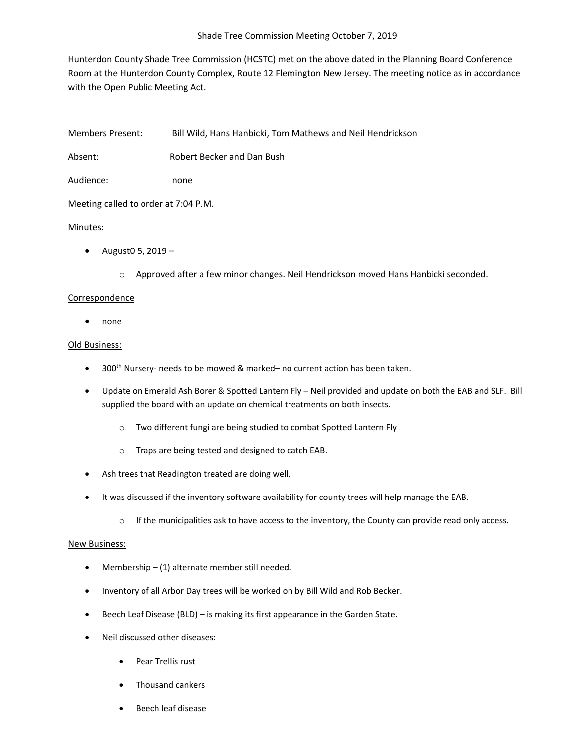Hunterdon County Shade Tree Commission (HCSTC) met on the above dated in the Planning Board Conference Room at the Hunterdon County Complex, Route 12 Flemington New Jersey. The meeting notice as in accordance with the Open Public Meeting Act.

Members Present: Bill Wild, Hans Hanbicki, Tom Mathews and Neil Hendrickson

Absent: Robert Becker and Dan Bush

Audience: none

Meeting called to order at 7:04 P.M.

## Minutes:

- August<sub>0</sub> 5, 2019
	- o Approved after a few minor changes. Neil Hendrickson moved Hans Hanbicki seconded.

## Correspondence

• none

## Old Business:

- 300<sup>th</sup> Nursery- needs to be mowed & marked– no current action has been taken.
- Update on Emerald Ash Borer & Spotted Lantern Fly Neil provided and update on both the EAB and SLF. Bill supplied the board with an update on chemical treatments on both insects.
	- o Two different fungi are being studied to combat Spotted Lantern Fly
	- o Traps are being tested and designed to catch EAB.
- Ash trees that Readington treated are doing well.
- It was discussed if the inventory software availability for county trees will help manage the EAB.
	- $\circ$  If the municipalities ask to have access to the inventory, the County can provide read only access.

## New Business:

- Membership (1) alternate member still needed.
- Inventory of all Arbor Day trees will be worked on by Bill Wild and Rob Becker.
- Beech Leaf Disease (BLD) is making its first appearance in the Garden State.
- Neil discussed other diseases:
	- Pear Trellis rust
	- Thousand cankers
	- Beech leaf disease